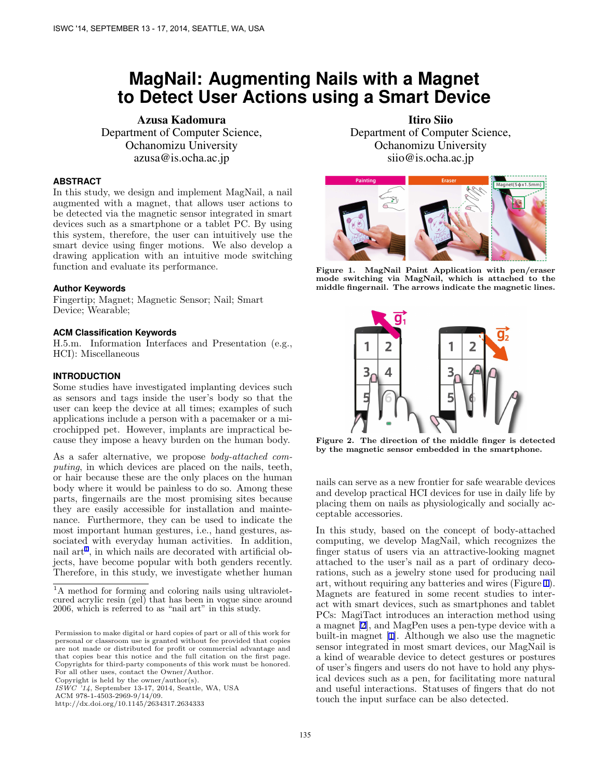# <span id="page-0-0"></span>**MagNail: Augmenting Nails with a Magnet to Detect User Actions using a Smart Device**

Azusa Kadomura Department of Computer Science, Ochanomizu University azusa@is.ocha.ac.jp

# **ABSTRACT**

In this study, we design and implement MagNail, a nail augmented with a magnet, that allows user actions to be detected via the magnetic sensor integrated in smart devices such as a smartphone or a tablet PC. By using this system, therefore, the user can intuitively use the smart device using finger motions. We also develop a drawing application with an intuitive mode switching function and evaluate its performance.

### **Author Keywords**

Fingertip; Magnet; Magnetic Sensor; Nail; Smart Device; Wearable;

### **ACM Classification Keywords**

H.5.m. Information Interfaces and Presentation (e.g., HCI): Miscellaneous

#### **INTRODUCTION**

Some studies have investigated implanting devices such as sensors and tags inside the user's body so that the user can keep the device at all times; examples of such applications include a person with a pacemaker or a microchipped pet. However, implants are impractical because they impose a heavy burden on the human body.

As a safer alternative, we propose *body-attached computing*, in which devices are placed on the nails, teeth, or hair because these are the only places on the human body where it would be painless to do so. Among these parts, fingernails are the most promising sites because they are easily accessible for installation and maintenance. Furthermore, they can be used to indicate the most important human gestures, i.e., hand gestures, associated with everyday human activities. In addition, nail  $art<sup>1</sup>$ , in which nails are decorated with artificial objects, have become popular with both genders recently. Therefore, in this study, we investigate whether human

Copyright is held by the owner/author(s).

Itiro Siio Department of Computer Science, Ochanomizu University siio@is.ocha.ac.jp



**Figure 1. MagNail Paint Application with pen/eraser mode switching via MagNail, which is attached to the middle fingernail. The arrows indicate the magnetic lines.**



**Figure 2. The direction of the middle finger is detected by the magnetic sensor embedded in the smartphone.**

nails can serve as a new frontier for safe wearable devices and develop practical HCI devices for use in daily life by placing them on nails as physiologically and socially acceptable accessories.

In this study, based on the concept of body-attached computing, we develop MagNail, which recognizes the finger status of users via an attractive-looking magnet attached to the user's nail as a part of ordinary decorations, such as a jewelry stone used for producing nail art, without requiring any batteries and wires (Figure 1). Magnets are featured in some recent studies to interact with smart devices, such as smartphones and tablet PCs: MagiTact introduces an interaction method using a magnet [[2\]](#page-1-0), and MagPen uses a pen-type device with a built-in magnet [[1\]](#page-1-0). Although we also use the magnetic sensor integrated in most smart devices, our MagNail is a kind of wearable device to detect gestures or postures of user's fingers and users do not have to hold any physical devices such as a pen, for facilitating more natural and useful interactions. Statuses of fingers that do not touch the input surface can be also detected.

<sup>&</sup>lt;sup>1</sup>A method for forming and coloring nails using ultravioletcured acrylic resin (gel) that has been in vogue since around 2006, which is referred to as "nail art" in this study.

Permission to make digital or hard copies of part or all of this work for personal or classroom use is granted without fee provided that copies are not made or distributed for profit or commercial advantage and that copies bear this notice and the full citation on the first page. Copyrights for third-party components of this work must be honored. For all other uses, contact the Owner/Author.

*ISWC '14*, September 13-17, 2014, Seattle, WA, USA

ACM 978-1-4503-2969-9/14/09.

http://dx.doi.org/10.1145/2634317.2634333